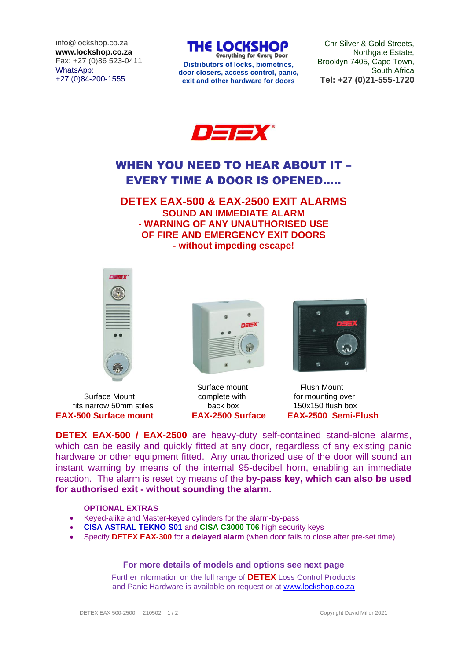info@lockshop.co.za **www.lockshop.co.za** Fax: +27 (0)86 523-0411 WhatsApp: +27 (0)84-200-1555

**THE LOCKSHOF** 

**Everything for Every Door Distributors of locks, biometrics, door closers, access control, panic, exit and other hardware for doors**

Cnr Silver & Gold Streets, Northgate Estate, Brooklyn 7405, Cape Town, South Africa **Tel: +27 (0)21-555-1720**



# WHEN YOU NEED TO HEAR ABOUT IT – EVERY TIME A DOOR IS OPENED…..

**DETEX EAX-500 & EAX-2500 EXIT ALARMS SOUND AN IMMEDIATE ALARM - WARNING OF ANY UNAUTHORISED USE OF FIRE AND EMERGENCY EXIT DOORS - without impeding escape!**





Surface mount Flush Mount



**EAX-500 Surface mount EAX-2500 Surface EAX-2500 Semi-Flush** 

**DETEX EAX-500 / EAX-2500** are heavy-duty self-contained stand-alone alarms, which can be easily and quickly fitted at any door, regardless of any existing panic hardware or other equipment fitted. Any unauthorized use of the door will sound an instant warning by means of the internal 95-decibel horn, enabling an immediate reaction. The alarm is reset by means of the **by-pass key, which can also be used for authorised exit - without sounding the alarm.**

#### **OPTIONAL EXTRAS**

- Keyed-alike and Master-keyed cylinders for the alarm-by-pass
- **CISA ASTRAL TEKNO S01** and **CISA C3000 T06** high security keys
- Specify **DETEX EAX-300** for a **delayed alarm** (when door fails to close after pre-set time).

#### **For more details of models and options see next page**

Further information on the full range of **DETEX** Loss Control Products and Panic Hardware is available on request or at [www.lockshop.co.za](http://www.lockshop.co.za/)